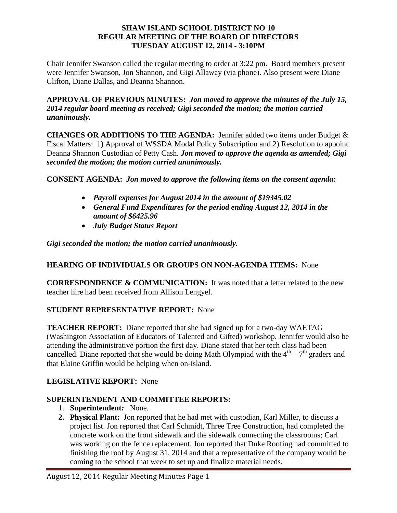#### **SHAW ISLAND SCHOOL DISTRICT NO 10 REGULAR MEETING OF THE BOARD OF DIRECTORS TUESDAY AUGUST 12, 2014 - 3:10PM**

Chair Jennifer Swanson called the regular meeting to order at 3:22 pm. Board members present were Jennifer Swanson, Jon Shannon, and Gigi Allaway (via phone). Also present were Diane Clifton, Diane Dallas, and Deanna Shannon.

**APPROVAL OF PREVIOUS MINUTES:** *Jon moved to approve the minutes of the July 15, 2014 regular board meeting as received; Gigi seconded the motion; the motion carried unanimously.*

**CHANGES OR ADDITIONS TO THE AGENDA:** Jennifer added two items under Budget & Fiscal Matters: 1) Approval of WSSDA Modal Policy Subscription and 2) Resolution to appoint Deanna Shannon Custodian of Petty Cash. *Jon moved to approve the agenda as amended; Gigi seconded the motion; the motion carried unanimously.*

**CONSENT AGENDA:** *Jon moved to approve the following items on the consent agenda:*

- *Payroll expenses for August 2014 in the amount of \$19345.02*
- *General Fund Expenditures for the period ending August 12, 2014 in the amount of \$6425.96*
- *July Budget Status Report*

*Gigi seconded the motion; the motion carried unanimously.* 

## **HEARING OF INDIVIDUALS OR GROUPS ON NON-AGENDA ITEMS:** None

**CORRESPONDENCE & COMMUNICATION:** It was noted that a letter related to the new teacher hire had been received from Allison Lengyel.

## **STUDENT REPRESENTATIVE REPORT:** None

**TEACHER REPORT:** Diane reported that she had signed up for a two-day WAETAG (Washington Association of Educators of Talented and Gifted) workshop. Jennifer would also be attending the administrative portion the first day. Diane stated that her tech class had been cancelled. Diane reported that she would be doing Math Olympiad with the  $4^{\text{th}} - 7^{\text{th}}$  graders and that Elaine Griffin would be helping when on-island.

# **LEGISLATIVE REPORT:** None

## **SUPERINTENDENT AND COMMITTEE REPORTS:**

- 1. **Superintendent***:* None.
- **2. Physical Plant:** Jon reported that he had met with custodian, Karl Miller, to discuss a project list. Jon reported that Carl Schmidt, Three Tree Construction, had completed the concrete work on the front sidewalk and the sidewalk connecting the classrooms; Carl was working on the fence replacement. Jon reported that Duke Roofing had committed to finishing the roof by August 31, 2014 and that a representative of the company would be coming to the school that week to set up and finalize material needs.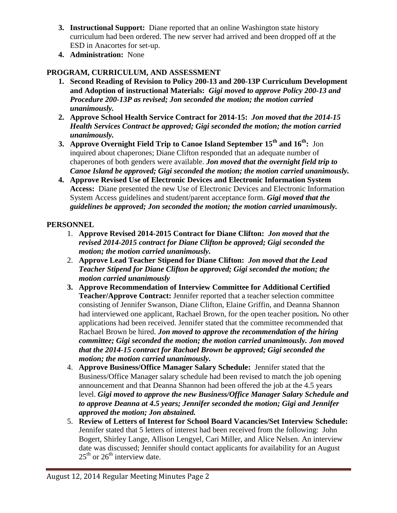- **3. Instructional Support:** Diane reported that an online Washington state history curriculum had been ordered. The new server had arrived and been dropped off at the ESD in Anacortes for set-up.
- **4. Administration:** None

# **PROGRAM, CURRICULUM, AND ASSESSMENT**

- **1. Second Reading of Revision to Policy 200-13 and 200-13P Curriculum Development and Adoption of instructional Materials:** *Gigi moved to approve Policy 200-13 and Procedure 200-13P as revised; Jon seconded the motion; the motion carried unanimously.*
- **2. Approve School Health Service Contract for 2014-15:** *Jon moved that the 2014-15 Health Services Contract be approved; Gigi seconded the motion; the motion carried unanimously.*
- **3. Approve Overnight Field Trip to Canoe Island September 15th and 16th:** Jon inquired about chaperones; Diane Clifton responded that an adequate number of chaperones of both genders were available. *Jon moved that the overnight field trip to Canoe Island be approved; Gigi seconded the motion; the motion carried unanimously.*
- **4. Approve Revised Use of Electronic Devices and Electronic Information System Access:** Diane presented the new Use of Electronic Devices and Electronic Information System Access guidelines and student/parent acceptance form. *Gigi moved that the guidelines be approved; Jon seconded the motion; the motion carried unanimously.*

# **PERSONNEL**

- 1. **Approve Revised 2014-2015 Contract for Diane Clifton:** *Jon moved that the revised 2014-2015 contract for Diane Clifton be approved; Gigi seconded the motion; the motion carried unanimously.*
- 2. **Approve Lead Teacher Stipend for Diane Clifton:** *Jon moved that the Lead Teacher Stipend for Diane Clifton be approved; Gigi seconded the motion; the motion carried unanimously*
- **3. Approve Recommendation of Interview Committee for Additional Certified Teacher/Approve Contract:** Jennifer reported that a teacher selection committee consisting of Jennifer Swanson, Diane Clifton, Elaine Griffin, and Deanna Shannon had interviewed one applicant, Rachael Brown, for the open teacher position*.* No other applications had been received. Jennifer stated that the committee recommended that Rachael Brown be hired. *Jon moved to approve the recommendation of the hiring committee; Gigi seconded the motion; the motion carried unanimously. Jon moved that the 2014-15 contract for Rachael Brown be approved; Gigi seconded the motion; the motion carried unanimously.*
- 4. **Approve Business/Office Manager Salary Schedule:** Jennifer stated that the Business/Office Manager salary schedule had been revised to match the job opening announcement and that Deanna Shannon had been offered the job at the 4.5 years level. *Gigi moved to approve the new Business/Office Manager Salary Schedule and to approve Deanna at 4.5 years; Jennifer seconded the motion; Gigi and Jennifer approved the motion; Jon abstained.*
- 5. **Review of Letters of Interest for School Board Vacancies/Set Interview Schedule:** Jennifer stated that 5 letters of interest had been received from the following: John Bogert, Shirley Lange, Allison Lengyel, Cari Miller, and Alice Nelsen. An interview date was discussed; Jennifer should contact applicants for availability for an August  $25<sup>th</sup>$  or  $26<sup>th</sup>$  interview date.